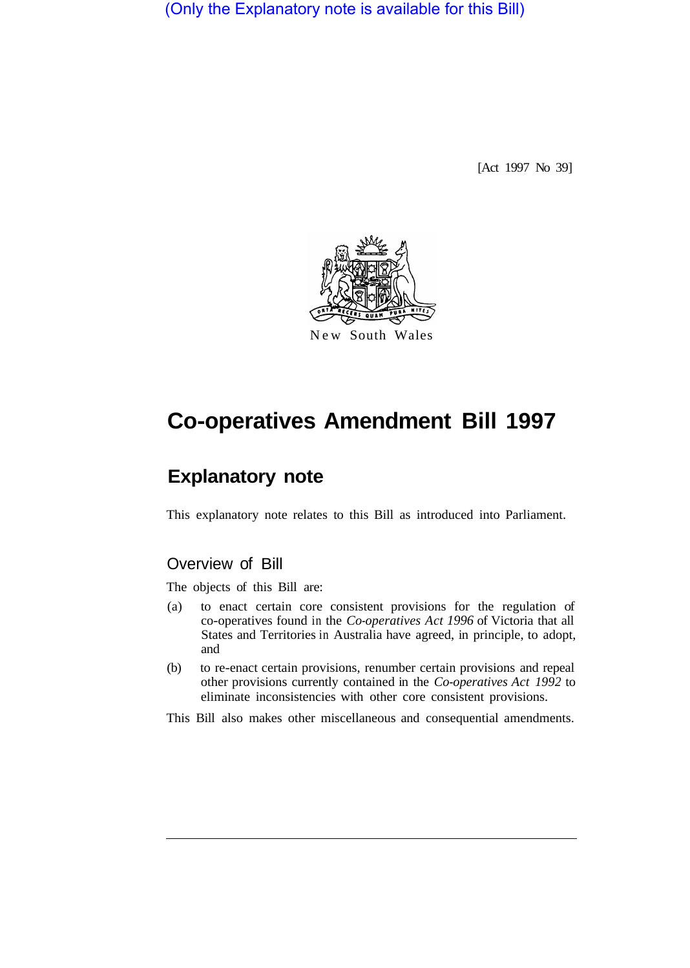(Only the Explanatory note is available for this Bill)

[Act 1997 No 39]



# **Co-operatives Amendment Bill 1997**

## **Explanatory note**

This explanatory note relates to this Bill as introduced into Parliament.

### Overview of Bill

The objects of this Bill are:

- (a) to enact certain core consistent provisions for the regulation of co-operatives found in the *Co-operatives Act 1996* of Victoria that all States and Territories in Australia have agreed, in principle, to adopt, and
- (b) to re-enact certain provisions, renumber certain provisions and repeal other provisions currently contained in the *Co-operatives Act 1992* to eliminate inconsistencies with other core consistent provisions.

This Bill also makes other miscellaneous and consequential amendments.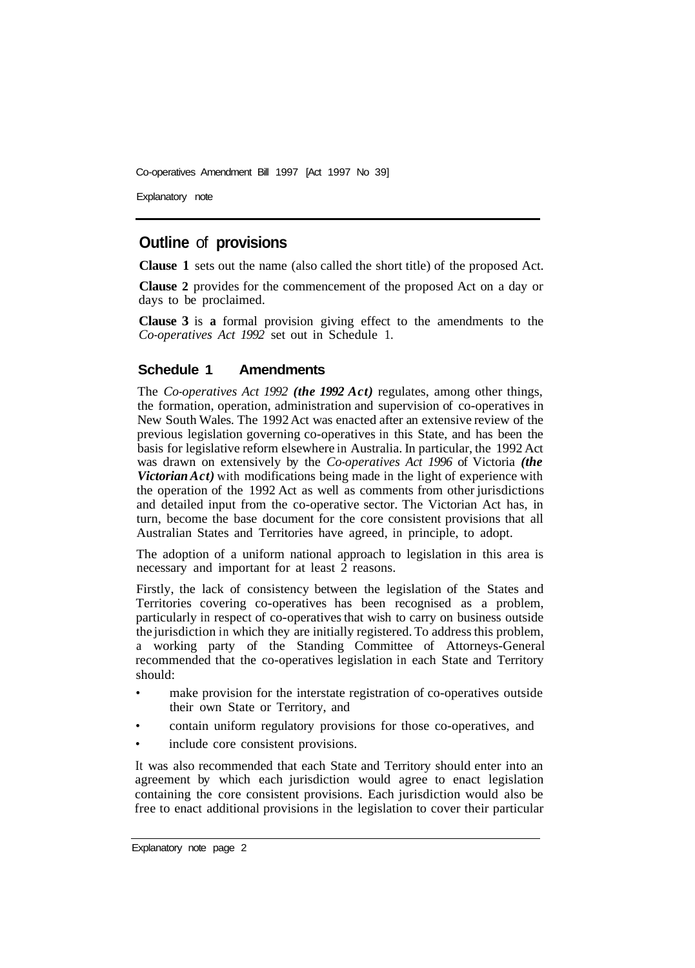Co-operatives Amendment Bill 1997 [Act 1997 No 39]

Explanatory note

### **Outline** of **provisions**

**Clause 1** sets out the name (also called the short title) of the proposed Act.

**Clause 2** provides for the commencement of the proposed Act on a day or days to be proclaimed.

**Clause 3** is **a** formal provision giving effect to the amendments to the *Co-operatives Act 1992* set out in Schedule 1.

#### **Schedule 1 Amendments**

The *Co-operatives Act 1992 (the 1992 Act)* regulates, among other things, the formation, operation, administration and supervision of co-operatives in New South Wales. The 1992 Act was enacted after an extensive review of the previous legislation governing co-operatives in this State, and has been the basis for legislative reform elsewhere in Australia. In particular, the 1992 Act was drawn on extensively by the *Co-operatives Act 1996* of Victoria *(the Victorian Act*) with modifications being made in the light of experience with the operation of the 1992 Act as well as comments from other jurisdictions and detailed input from the co-operative sector. The Victorian Act has, in turn, become the base document for the core consistent provisions that all Australian States and Territories have agreed, in principle, to adopt.

The adoption of a uniform national approach to legislation in this area is necessary and important for at least 2 reasons.

Firstly, the lack of consistency between the legislation of the States and Territories covering co-operatives has been recognised as a problem, particularly in respect of co-operatives that wish to carry on business outside the jurisdiction in which they are initially registered. To address this problem, a working party of the Standing Committee of Attorneys-General recommended that the co-operatives legislation in each State and Territory should:

- make provision for the interstate registration of co-operatives outside their own State or Territory, and
- contain uniform regulatory provisions for those co-operatives, and
- include core consistent provisions.

It was also recommended that each State and Territory should enter into an agreement by which each jurisdiction would agree to enact legislation containing the core consistent provisions. Each jurisdiction would also be free to enact additional provisions in the legislation to cover their particular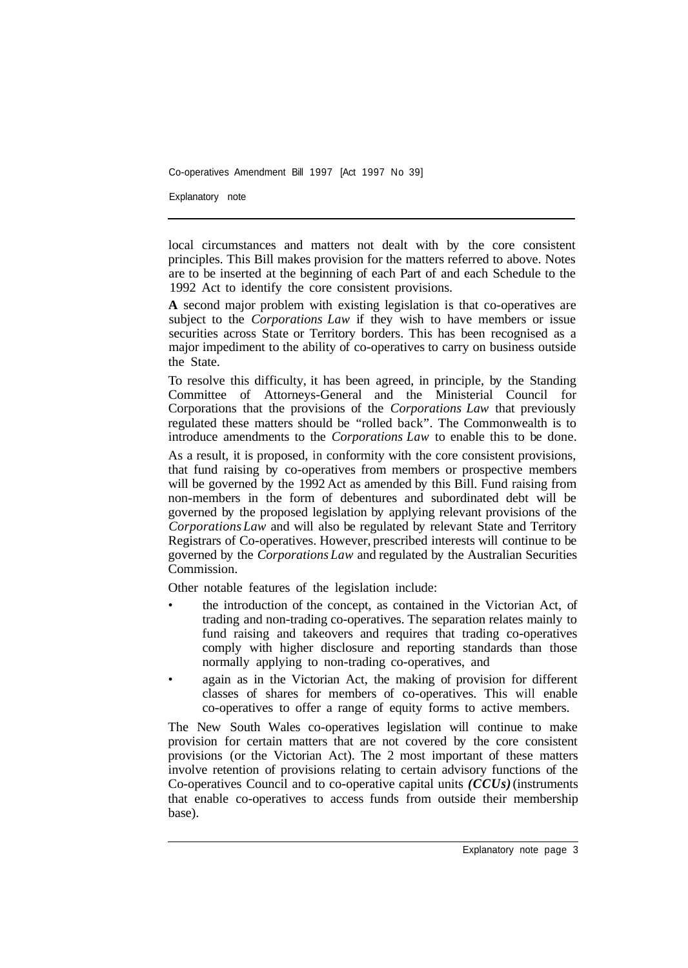Co-operatives Amendment Bill 1997 [Act 1997 No 39]

Explanatory note

local circumstances and matters not dealt with by the core consistent principles. This Bill makes provision for the matters referred to above. Notes are to be inserted at the beginning of each Part of and each Schedule to the 1992 Act to identify the core consistent provisions.

**A** second major problem with existing legislation is that co-operatives are subject to the *Corporations Law* if they wish to have members or issue securities across State or Territory borders. This has been recognised as a major impediment to the ability of co-operatives to carry on business outside the State.

To resolve this difficulty, it has been agreed, in principle, by the Standing Committee of Attorneys-General and the Ministerial Council for Corporations that the provisions of the *Corporations Law* that previously regulated these matters should be "rolled back". The Commonwealth is to introduce amendments to the *Corporations Law* to enable this to be done.

As a result, it is proposed, in conformity with the core consistent provisions, that fund raising by co-operatives from members or prospective members will be governed by the 1992 Act as amended by this Bill. Fund raising from non-members in the form of debentures and subordinated debt will be governed by the proposed legislation by applying relevant provisions of the *Corporations Law* and will also be regulated by relevant State and Territory Registrars of Co-operatives. However, prescribed interests will continue to be governed by the *Corporations Law* and regulated by the Australian Securities **Commission** 

Other notable features of the legislation include:

- the introduction of the concept, as contained in the Victorian Act, of trading and non-trading co-operatives. The separation relates mainly to fund raising and takeovers and requires that trading co-operatives comply with higher disclosure and reporting standards than those normally applying to non-trading co-operatives, and
- again as in the Victorian Act, the making of provision for different classes of shares for members of co-operatives. This will enable co-operatives to offer a range of equity forms to active members.

The New South Wales co-operatives legislation will continue to make provision for certain matters that are not covered by the core consistent provisions (or the Victorian Act). The 2 most important of these matters involve retention of provisions relating to certain advisory functions of the Co-operatives Council and to co-operative capital units *(CCUs)* (instruments that enable co-operatives to access funds from outside their membership base).